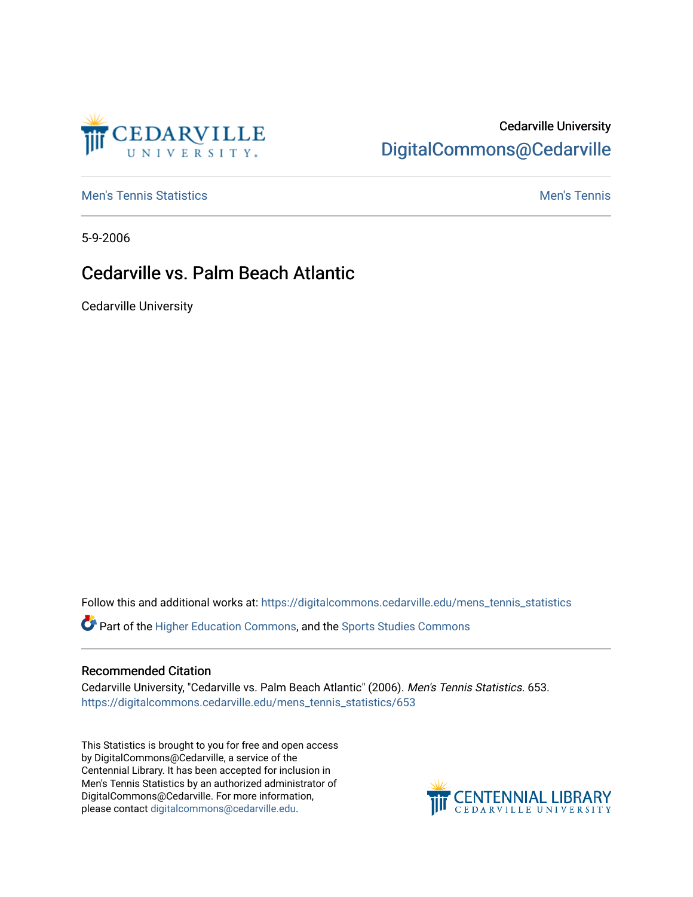

# Cedarville University [DigitalCommons@Cedarville](https://digitalcommons.cedarville.edu/)

**[Men's Tennis Statistics](https://digitalcommons.cedarville.edu/mens_tennis_statistics) Men's Tennis** Men's Tennis

5-9-2006

## Cedarville vs. Palm Beach Atlantic

Cedarville University

Follow this and additional works at: [https://digitalcommons.cedarville.edu/mens\\_tennis\\_statistics](https://digitalcommons.cedarville.edu/mens_tennis_statistics?utm_source=digitalcommons.cedarville.edu%2Fmens_tennis_statistics%2F653&utm_medium=PDF&utm_campaign=PDFCoverPages)

Part of the [Higher Education Commons,](http://network.bepress.com/hgg/discipline/1245?utm_source=digitalcommons.cedarville.edu%2Fmens_tennis_statistics%2F653&utm_medium=PDF&utm_campaign=PDFCoverPages) and the [Sports Studies Commons](http://network.bepress.com/hgg/discipline/1198?utm_source=digitalcommons.cedarville.edu%2Fmens_tennis_statistics%2F653&utm_medium=PDF&utm_campaign=PDFCoverPages) 

#### Recommended Citation

Cedarville University, "Cedarville vs. Palm Beach Atlantic" (2006). Men's Tennis Statistics. 653. [https://digitalcommons.cedarville.edu/mens\\_tennis\\_statistics/653](https://digitalcommons.cedarville.edu/mens_tennis_statistics/653?utm_source=digitalcommons.cedarville.edu%2Fmens_tennis_statistics%2F653&utm_medium=PDF&utm_campaign=PDFCoverPages) 

This Statistics is brought to you for free and open access by DigitalCommons@Cedarville, a service of the Centennial Library. It has been accepted for inclusion in Men's Tennis Statistics by an authorized administrator of DigitalCommons@Cedarville. For more information, please contact [digitalcommons@cedarville.edu](mailto:digitalcommons@cedarville.edu).